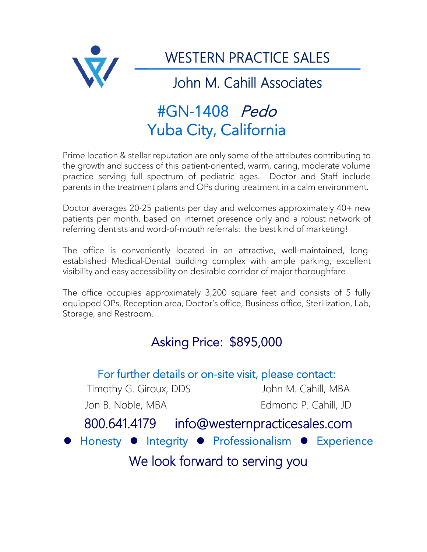

WESTERN PRACTICE SALES

John M. Cahill Associates

# #GN-1408 Pedo Yuba City, California

Prime location & stellar reputation are only some of the attributes contributing to the growth and success of this patient-oriented, warm, caring, moderate volume practice serving full spectrum of pediatric ages. Doctor and Staff include parents in the treatment plans and OPs during treatment in a calm environment.

Doctor averages 20-25 patients per day and welcomes approximately 40+ new patients per month, based on internet presence only and a robust network of referring dentists and word-of-mouth referrals: the best kind of marketing!

The office is conveniently located in an attractive, well-maintained, longestablished Medical-Dental building complex with ample parking, excellent visibility and easy accessibility on desirable corridor of major thoroughfare

The office occupies approximately 3,200 square feet and consists of 5 fully equipped OPs, Reception area, Doctor's office, Business office, Sterilization, Lab, Storage, and Restroom.

## Asking Price: \$895,000

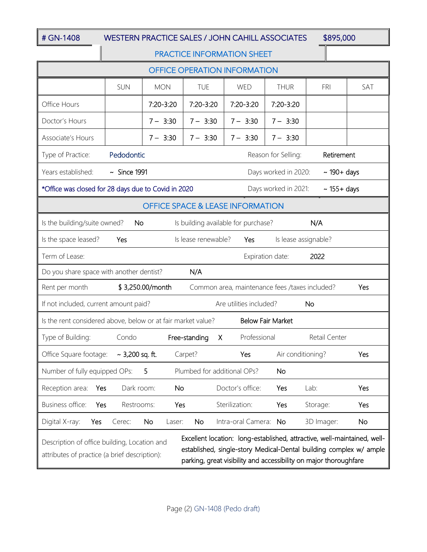### # GN-1408 WESTERN PRACTICE SALES / JOHN CAHILL ASSOCIATES \$895,000

#### PRACTICE INFORMATION SHEET

| <b>OFFICE OPERATION INFORMATION</b>                                                                                                                                                                                                                                                                                  |                                                 |              |                          |                    |                      |               |     |
|----------------------------------------------------------------------------------------------------------------------------------------------------------------------------------------------------------------------------------------------------------------------------------------------------------------------|-------------------------------------------------|--------------|--------------------------|--------------------|----------------------|---------------|-----|
|                                                                                                                                                                                                                                                                                                                      | <b>SUN</b>                                      | <b>MON</b>   | <b>TUE</b>               | WED                | <b>THUR</b>          | FRI           | SAT |
| Office Hours                                                                                                                                                                                                                                                                                                         |                                                 | 7:20-3:20    | 7:20-3:20                | 7:20-3:20          | 7:20-3:20            |               |     |
| Doctor's Hours                                                                                                                                                                                                                                                                                                       |                                                 | $7 - 3:30$   | $7 - 3:30$               | $7 - 3:30$         | $7 - 3:30$           |               |     |
| Associate's Hours                                                                                                                                                                                                                                                                                                    |                                                 | $7 - 3:30$   | $7 - 3:30$               | $7 - 3:30$         | $7 - 3:30$           |               |     |
| Type of Practice:                                                                                                                                                                                                                                                                                                    | Pedodontic<br>Reason for Selling:<br>Retirement |              |                          |                    |                      |               |     |
| Years established:<br>$\sim$ Since 1991<br>Days worked in 2020:<br>$\sim$ 190+ days                                                                                                                                                                                                                                  |                                                 |              |                          |                    |                      |               |     |
| *Office was closed for 28 days due to Covid in 2020<br>Days worked in 2021:<br>$\sim$ 155+ days                                                                                                                                                                                                                      |                                                 |              |                          |                    |                      |               |     |
| <b>OFFICE SPACE &amp; LEASE INFORMATION</b>                                                                                                                                                                                                                                                                          |                                                 |              |                          |                    |                      |               |     |
| Is building available for purchase?<br>N/A<br>Is the building/suite owned?<br><b>No</b>                                                                                                                                                                                                                              |                                                 |              |                          |                    |                      |               |     |
| Is the space leased?                                                                                                                                                                                                                                                                                                 | Yes                                             |              | Is lease renewable?      | Yes                | Is lease assignable? |               |     |
| Term of Lease:<br>2022<br>Expiration date:                                                                                                                                                                                                                                                                           |                                                 |              |                          |                    |                      |               |     |
| Do you share space with another dentist?                                                                                                                                                                                                                                                                             |                                                 |              | N/A                      |                    |                      |               |     |
| \$3,250.00/month<br>Common area, maintenance fees /taxes included?<br>Rent per month<br>Yes                                                                                                                                                                                                                          |                                                 |              |                          |                    |                      |               |     |
| Are utilities included?<br>If not included, current amount paid?<br><b>No</b>                                                                                                                                                                                                                                        |                                                 |              |                          |                    |                      |               |     |
| Is the rent considered above, below or at fair market value?<br><b>Below Fair Market</b>                                                                                                                                                                                                                             |                                                 |              |                          |                    |                      |               |     |
| Type of Building:                                                                                                                                                                                                                                                                                                    | Condo                                           |              | Free-standing<br>$\sf X$ | Professional       |                      | Retail Center |     |
| Office Square footage:                                                                                                                                                                                                                                                                                               | ~ 3,200 sq. ft.                                 |              | Carpet?                  | Yes                | Air conditioning?    |               | Yes |
| Number of fully equipped OPs:<br>5<br>Plumbed for additional OPs?<br>No                                                                                                                                                                                                                                              |                                                 |              |                          |                    |                      |               |     |
| Reception area:<br>Yes                                                                                                                                                                                                                                                                                               | Dark room:                                      | No           |                          | Doctor's office:   | Yes                  | Lab:          | Yes |
| Business office:<br>Yes                                                                                                                                                                                                                                                                                              | Restrooms:                                      | Yes          |                          | Sterilization:     | Yes                  | Storage:      | Yes |
| Digital X-ray:<br>Yes                                                                                                                                                                                                                                                                                                | Cerec:                                          | No<br>Laser: | No                       | Intra-oral Camera: | <b>No</b>            | 3D Imager:    | No  |
| Excellent location: long-established, attractive, well-maintained, well-<br>Description of office building, Location and<br>established, single-story Medical-Dental building complex w/ ample<br>attributes of practice (a brief description):<br>parking, great visibility and accessibility on major thoroughfare |                                                 |              |                          |                    |                      |               |     |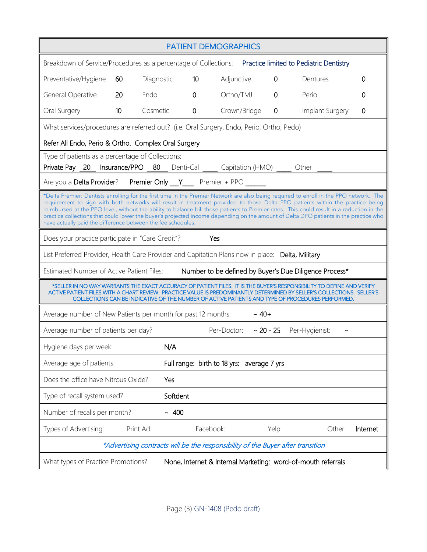| <b>PATIENT DEMOGRAPHICS</b>                                                                                                                                                                                                                                                                                                                                                                                                                                                                                                                                                                                                   |                                                                                          |            |             |                                            |            |             |                 |          |  |
|-------------------------------------------------------------------------------------------------------------------------------------------------------------------------------------------------------------------------------------------------------------------------------------------------------------------------------------------------------------------------------------------------------------------------------------------------------------------------------------------------------------------------------------------------------------------------------------------------------------------------------|------------------------------------------------------------------------------------------|------------|-------------|--------------------------------------------|------------|-------------|-----------------|----------|--|
| Breakdown of Service/Procedures as a percentage of Collections: Practice limited to Pediatric Dentistry                                                                                                                                                                                                                                                                                                                                                                                                                                                                                                                       |                                                                                          |            |             |                                            |            |             |                 |          |  |
| Preventative/Hygiene                                                                                                                                                                                                                                                                                                                                                                                                                                                                                                                                                                                                          | 60                                                                                       | Diagnostic | 10          | Adjunctive                                 |            | 0           | Dentures        | 0        |  |
| General Operative                                                                                                                                                                                                                                                                                                                                                                                                                                                                                                                                                                                                             | 20                                                                                       | Endo       | $\mathbf 0$ | Ortho/TMJ                                  |            | $\mathbf 0$ | Perio           | 0        |  |
| Oral Surgery                                                                                                                                                                                                                                                                                                                                                                                                                                                                                                                                                                                                                  | 10                                                                                       | Cosmetic   | $\mathbf 0$ | Crown/Bridge                               |            | 0           | Implant Surgery | 0        |  |
|                                                                                                                                                                                                                                                                                                                                                                                                                                                                                                                                                                                                                               | What services/procedures are referred out? (i.e. Oral Surgery, Endo, Perio, Ortho, Pedo) |            |             |                                            |            |             |                 |          |  |
| Refer All Endo, Perio & Ortho. Complex Oral Surgery                                                                                                                                                                                                                                                                                                                                                                                                                                                                                                                                                                           |                                                                                          |            |             |                                            |            |             |                 |          |  |
| Type of patients as a percentage of Collections:<br>Private Pay 20 Insurance/PPO 80 Denti-Cal Capitation (HMO) __ Other __                                                                                                                                                                                                                                                                                                                                                                                                                                                                                                    |                                                                                          |            |             |                                            |            |             |                 |          |  |
| Are you a Delta Provider? Premier Only Y Premier + PPO ______                                                                                                                                                                                                                                                                                                                                                                                                                                                                                                                                                                 |                                                                                          |            |             |                                            |            |             |                 |          |  |
| *Delta Premier: Dentists enrolling for the first time in the Premier Network are also being required to enroll in the PPO network. The<br>requirement to sign with both networks will result in treatment provided to those Delta PPO patients within the practice being<br>reimbursed at the PPO level, without the ability to balance bill those patients to Premier rates. This could result in a reduction in the<br>practice collections that could lower the buyer's projected income depending on the amount of Delta DPO patients in the practice who<br>have actually paid the difference between the fee schedules. |                                                                                          |            |             |                                            |            |             |                 |          |  |
| Yes<br>Does your practice participate in "Care Credit"?                                                                                                                                                                                                                                                                                                                                                                                                                                                                                                                                                                       |                                                                                          |            |             |                                            |            |             |                 |          |  |
| List Preferred Provider, Health Care Provider and Capitation Plans now in place: Delta, Military                                                                                                                                                                                                                                                                                                                                                                                                                                                                                                                              |                                                                                          |            |             |                                            |            |             |                 |          |  |
| Estimated Number of Active Patient Files:<br>Number to be defined by Buyer's Due Diligence Process*                                                                                                                                                                                                                                                                                                                                                                                                                                                                                                                           |                                                                                          |            |             |                                            |            |             |                 |          |  |
| *SELLER IN NO WAY WARRANTS THE EXACT ACCURACY OF PATIENT FILES. IT IS THE BUYER'S RESPONSIBILITY TO DEFINE AND VERIFY<br>ACTIVE PATIENT FILES WITH A CHART REVIEW. PRACTICE VALUE IS PREDOMINANTLY DETERMINED BY SELLER'S COLLECTIONS. SELLER'S<br>COLLECTIONS CAN BE INDICATIVE OF THE NUMBER OF ACTIVE PATIENTS AND TYPE OF PROCEDURES PERFORMED.                                                                                                                                                                                                                                                                           |                                                                                          |            |             |                                            |            |             |                 |          |  |
| $~\sim 40+$<br>Average number of New Patients per month for past 12 months:                                                                                                                                                                                                                                                                                                                                                                                                                                                                                                                                                   |                                                                                          |            |             |                                            |            |             |                 |          |  |
| Average number of patients per day?                                                                                                                                                                                                                                                                                                                                                                                                                                                                                                                                                                                           |                                                                                          |            |             | Per-Doctor:                                | $~20 - 25$ |             | Per-Hygienist:  |          |  |
| Hygiene days per week:                                                                                                                                                                                                                                                                                                                                                                                                                                                                                                                                                                                                        |                                                                                          | N/A        |             |                                            |            |             |                 |          |  |
| Average age of patients:                                                                                                                                                                                                                                                                                                                                                                                                                                                                                                                                                                                                      |                                                                                          |            |             | Full range: birth to 18 yrs: average 7 yrs |            |             |                 |          |  |
| Does the office have Nitrous Oxide?                                                                                                                                                                                                                                                                                                                                                                                                                                                                                                                                                                                           |                                                                                          | Yes        |             |                                            |            |             |                 |          |  |
| Type of recall system used?                                                                                                                                                                                                                                                                                                                                                                                                                                                                                                                                                                                                   |                                                                                          | Softdent   |             |                                            |            |             |                 |          |  |
| Number of recalls per month?                                                                                                                                                                                                                                                                                                                                                                                                                                                                                                                                                                                                  |                                                                                          | ~100       |             |                                            |            |             |                 |          |  |
| Types of Advertising:                                                                                                                                                                                                                                                                                                                                                                                                                                                                                                                                                                                                         |                                                                                          | Print Ad:  | Facebook:   |                                            | Yelp:      |             | Other:          | Internet |  |
| *Advertising contracts will be the responsibility of the Buyer after transition                                                                                                                                                                                                                                                                                                                                                                                                                                                                                                                                               |                                                                                          |            |             |                                            |            |             |                 |          |  |
| None, Internet & Internal Marketing: word-of-mouth referrals<br>What types of Practice Promotions?                                                                                                                                                                                                                                                                                                                                                                                                                                                                                                                            |                                                                                          |            |             |                                            |            |             |                 |          |  |